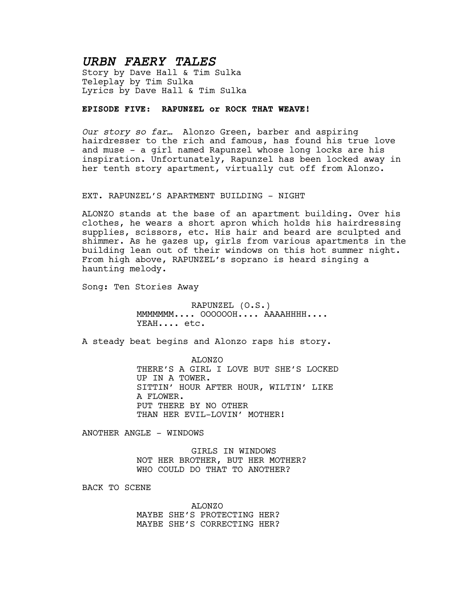# *URBN FAERY TALES*

Story by Dave Hall & Tim Sulka Teleplay by Tim Sulka Lyrics by Dave Hall & Tim Sulka

## **EPISODE FIVE: RAPUNZEL or ROCK THAT WEAVE!**

*Our story so far…* Alonzo Green, barber and aspiring hairdresser to the rich and famous, has found his true love and muse - a girl named Rapunzel whose long locks are his inspiration. Unfortunately, Rapunzel has been locked away in her tenth story apartment, virtually cut off from Alonzo.

#### EXT. RAPUNZEL'S APARTMENT BUILDING - NIGHT

ALONZO stands at the base of an apartment building. Over his clothes, he wears a short apron which holds his hairdressing supplies, scissors, etc. His hair and beard are sculpted and shimmer. As he gazes up, girls from various apartments in the building lean out of their windows on this hot summer night. From high above, RAPUNZEL's soprano is heard singing a haunting melody.

Song: Ten Stories Away

RAPUNZEL (O.S.) MMMMMMM.... OOOOOOH.... AAAAHHHH.... YEAH.... etc.

A steady beat begins and Alonzo raps his story.

ALONZO THERE'S A GIRL I LOVE BUT SHE'S LOCKED UP IN A TOWER. SITTIN' HOUR AFTER HOUR, WILTIN' LIKE A FLOWER. PUT THERE BY NO OTHER THAN HER EVIL-LOVIN' MOTHER!

ANOTHER ANGLE - WINDOWS

GIRLS IN WINDOWS NOT HER BROTHER, BUT HER MOTHER? WHO COULD DO THAT TO ANOTHER?

BACK TO SCENE

ALONZO MAYBE SHE'S PROTECTING HER? MAYBE SHE'S CORRECTING HER?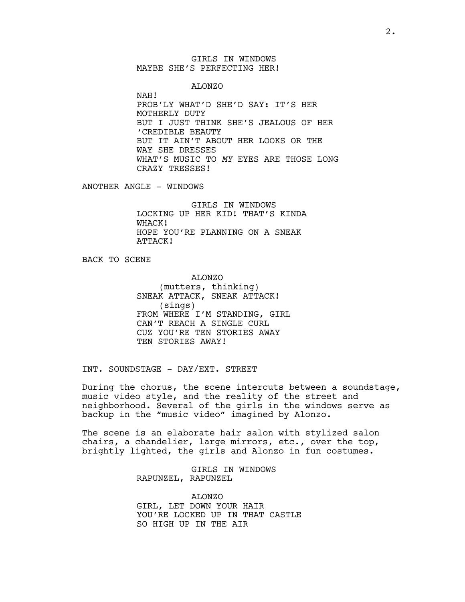GIRLS IN WINDOWS MAYBE SHE'S PERFECTING HER!

ALONZO

NAH! PROB'LY WHAT'D SHE'D SAY: IT'S HER MOTHERLY DUTY BUT I JUST THINK SHE'S JEALOUS OF HER 'CREDIBLE BEAUTY BUT IT AIN'T ABOUT HER LOOKS OR THE WAY SHE DRESSES WHAT'S MUSIC TO *MY* EYES ARE THOSE LONG CRAZY TRESSES!

ANOTHER ANGLE - WINDOWS

GIRLS IN WINDOWS LOCKING UP HER KID! THAT'S KINDA WHACK! HOPE YOU'RE PLANNING ON A SNEAK ATTACK!

BACK TO SCENE

ALONZO (mutters, thinking) SNEAK ATTACK, SNEAK ATTACK! (sings) FROM WHERE I'M STANDING, GIRL CAN'T REACH A SINGLE CURL CUZ YOU'RE TEN STORIES AWAY TEN STORIES AWAY!

INT. SOUNDSTAGE - DAY/EXT. STREET

During the chorus, the scene intercuts between a soundstage, music video style, and the reality of the street and neighborhood. Several of the girls in the windows serve as backup in the "music video" imagined by Alonzo.

The scene is an elaborate hair salon with stylized salon chairs, a chandelier, large mirrors, etc., over the top, brightly lighted, the girls and Alonzo in fun costumes.

> GIRLS IN WINDOWS RAPUNZEL, RAPUNZEL

ALONZO GIRL, LET DOWN YOUR HAIR YOU'RE LOCKED UP IN THAT CASTLE SO HIGH UP IN THE AIR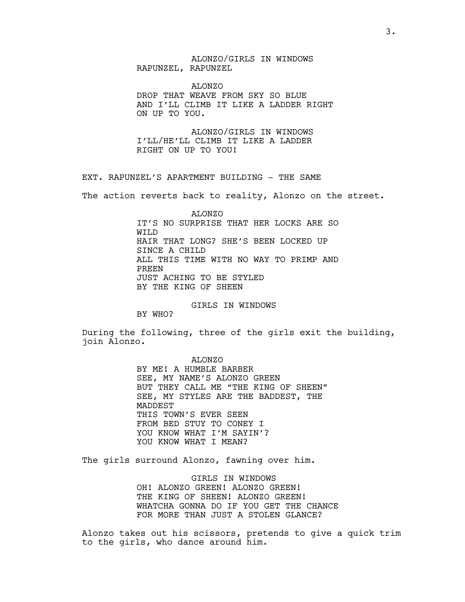## ALONZO/GIRLS IN WINDOWS RAPUNZEL, RAPUNZEL

ALONZO DROP THAT WEAVE FROM SKY SO BLUE AND I'LL CLIMB IT LIKE A LADDER RIGHT ON UP TO YOU.

ALONZO/GIRLS IN WINDOWS I'LL/HE'LL CLIMB IT LIKE A LADDER RIGHT ON UP TO YOU!

EXT. RAPUNZEL'S APARTMENT BUILDING - THE SAME

The action reverts back to reality, Alonzo on the street.

ALONZO IT'S NO SURPRISE THAT HER LOCKS ARE SO WILD HAIR THAT LONG? SHE'S BEEN LOCKED UP SINCE A CHILD ALL THIS TIME WITH NO WAY TO PRIMP AND PREEN JUST ACHING TO BE STYLED BY THE KING OF SHEEN

GIRLS IN WINDOWS

BY WHO?

During the following, three of the girls exit the building, join Alonzo.

> ALONZO BY ME! A HUMBLE BARBER SEE, MY NAME'S ALONZO GREEN BUT THEY CALL ME "THE KING OF SHEEN" SEE, MY STYLES ARE THE BADDEST, THE MADDEST THIS TOWN'S EVER SEEN FROM BED STUY TO CONEY I YOU KNOW WHAT I'M SAYIN'? YOU KNOW WHAT I MEAN?

The girls surround Alonzo, fawning over him.

GIRLS IN WINDOWS OH! ALONZO GREEN! ALONZO GREEN! THE KING OF SHEEN! ALONZO GREEN! WHATCHA GONNA DO IF YOU GET THE CHANCE FOR MORE THAN JUST A STOLEN GLANCE?

Alonzo takes out his scissors, pretends to give a quick trim to the girls, who dance around him.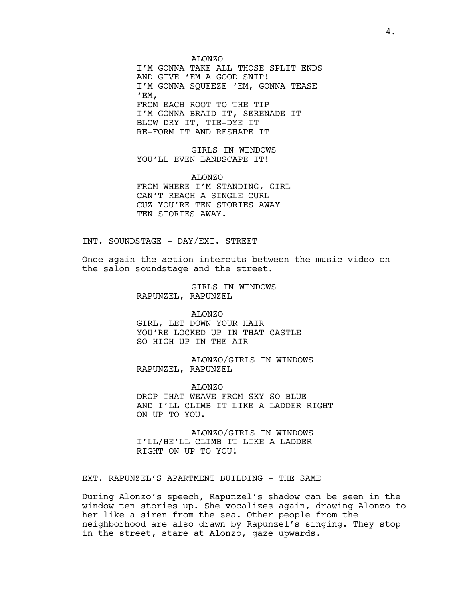ALONZO I'M GONNA TAKE ALL THOSE SPLIT ENDS AND GIVE 'EM A GOOD SNIP! I'M GONNA SQUEEZE 'EM, GONNA TEASE  $^{\prime}$ EM, FROM EACH ROOT TO THE TIP I'M GONNA BRAID IT, SERENADE IT BLOW DRY IT, TIE-DYE IT RE-FORM IT AND RESHAPE IT

GIRLS IN WINDOWS YOU'LL EVEN LANDSCAPE IT!

ALONZO FROM WHERE I'M STANDING, GIRL CAN'T REACH A SINGLE CURL CUZ YOU'RE TEN STORIES AWAY TEN STORIES AWAY.

INT. SOUNDSTAGE - DAY/EXT. STREET

Once again the action intercuts between the music video on the salon soundstage and the street.

> GIRLS IN WINDOWS RAPUNZEL, RAPUNZEL

ALONZO GIRL, LET DOWN YOUR HAIR YOU'RE LOCKED UP IN THAT CASTLE SO HIGH UP IN THE AIR

ALONZO/GIRLS IN WINDOWS RAPUNZEL, RAPUNZEL

ALONZO DROP THAT WEAVE FROM SKY SO BLUE AND I'LL CLIMB IT LIKE A LADDER RIGHT ON UP TO YOU.

ALONZO/GIRLS IN WINDOWS I'LL/HE'LL CLIMB IT LIKE A LADDER RIGHT ON UP TO YOU!

EXT. RAPUNZEL'S APARTMENT BUILDING - THE SAME

During Alonzo's speech, Rapunzel's shadow can be seen in the window ten stories up. She vocalizes again, drawing Alonzo to her like a siren from the sea. Other people from the neighborhood are also drawn by Rapunzel's singing. They stop in the street, stare at Alonzo, gaze upwards.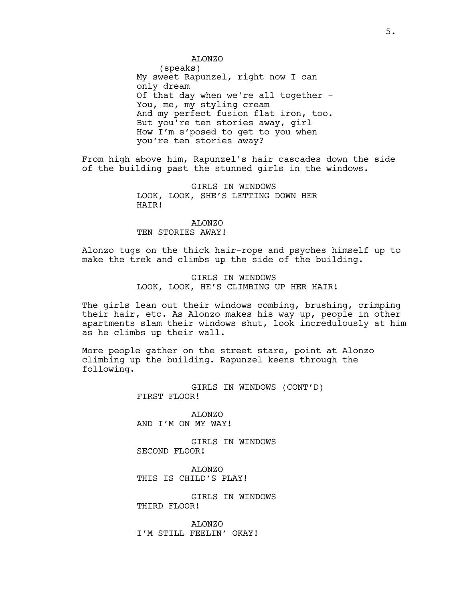#### ALONZO

(speaks) My sweet Rapunzel, right now I can only dream Of that day when we're all together - You, me, my styling cream And my perfect fusion flat iron, too. But you're ten stories away, girl How I'm s'posed to get to you when you're ten stories away?

From high above him, Rapunzel's hair cascades down the side of the building past the stunned girls in the windows.

> GIRLS IN WINDOWS LOOK, LOOK, SHE'S LETTING DOWN HER HAIR!

ALONZO TEN STORIES AWAY!

Alonzo tugs on the thick hair-rope and psyches himself up to make the trek and climbs up the side of the building.

> GIRLS IN WINDOWS LOOK, LOOK, HE'S CLIMBING UP HER HAIR!

The girls lean out their windows combing, brushing, crimping their hair, etc. As Alonzo makes his way up, people in other apartments slam their windows shut, look incredulously at him as he climbs up their wall.

More people gather on the street stare, point at Alonzo climbing up the building. Rapunzel keens through the following.

> GIRLS IN WINDOWS (CONT'D) FIRST FLOOR!

ALONZO AND I'M ON MY WAY!

GIRLS IN WINDOWS SECOND FLOOR!

ALONZO THIS IS CHILD'S PLAY!

GIRLS IN WINDOWS THIRD FLOOR!

ALONZO I'M STILL FEELIN' OKAY!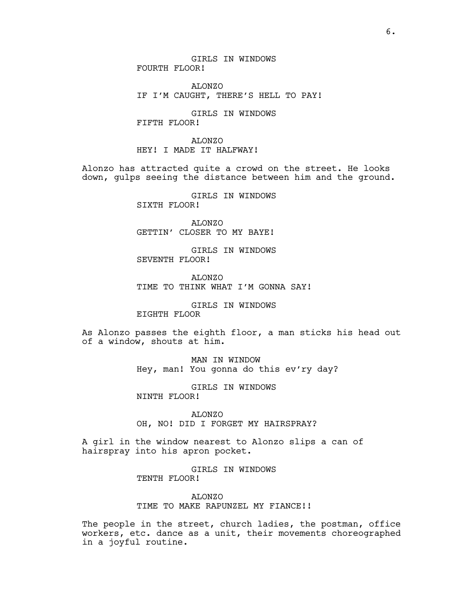GIRLS IN WINDOWS FOURTH FLOOR!

ALONZO IF I'M CAUGHT, THERE'S HELL TO PAY!

GIRLS IN WINDOWS FIFTH FLOOR!

ALONZO HEY! I MADE IT HALFWAY!

Alonzo has attracted quite a crowd on the street. He looks down, gulps seeing the distance between him and the ground.

> GIRLS IN WINDOWS SIXTH FLOOR!

ALONZO GETTIN' CLOSER TO MY BAYE!

GIRLS IN WINDOWS SEVENTH FLOOR!

ALONZO TIME TO THINK WHAT I'M GONNA SAY!

GIRLS IN WINDOWS EIGHTH FLOOR

As Alonzo passes the eighth floor, a man sticks his head out of a window, shouts at him.

> MAN IN WINDOW Hey, man! You gonna do this ev'ry day?

GIRLS IN WINDOWS NINTH FLOOR!

ALONZO OH, NO! DID I FORGET MY HAIRSPRAY?

A girl in the window nearest to Alonzo slips a can of hairspray into his apron pocket.

> GIRLS IN WINDOWS TENTH FLOOR!

ALONZO TIME TO MAKE RAPUNZEL MY FIANCE!!

The people in the street, church ladies, the postman, office workers, etc. dance as a unit, their movements choreographed in a joyful routine.